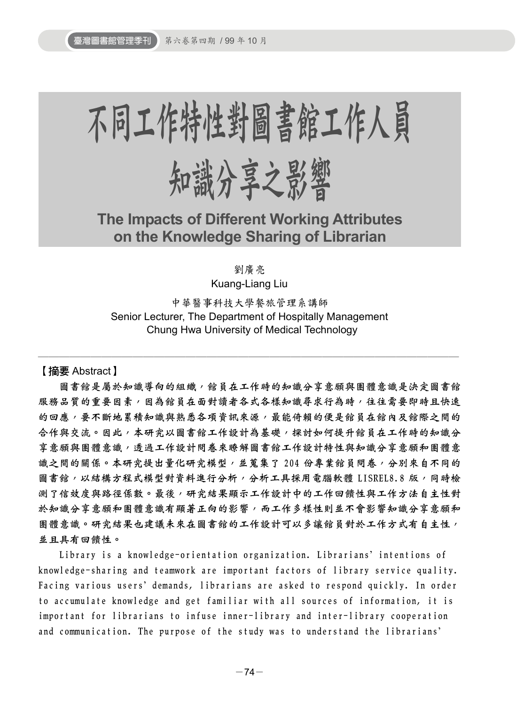# 不同工作特性對圖書館工作人員



**The Impacts of Different Working Attributes on the Knowledge Sharing of Librarian** 

劉廣亮

Kuang-Liang Liu

中華醫事科技大學餐旅管理系講師 Senior Lecturer, The Department of Hospitally Management Chung Hwa University of Medical Technology

────────────────────────────────────────

【摘要 Abstract】

圖書館是屬於知識導向的組織,館員在工作時的知識分享意願與團體意識是決定圖書館 服務品質的重要因素,因為館員在面對讀者各式各樣知識尋求行為時,往往需要即時且快速 的回應,要不斷地累積知識與熟悉各項資訊來源,最能倚賴的便是館員在館內及館際之間的 合作與交流。因此,本研究以圖書館工作設計為基礎,探討如何提升館員在工作時的知識分 享意願與團體意識,透過工作設計問卷來瞭解圖書館工作設計特性與知識分享意願和團體意 識之間的關係。本研究提出量化研究模型,並蒐集了 204 份專業館員問卷,分別來自不同的 圖書館,以結構方程式模型對資料進行分析,分析工具採用電腦軟體 LISREL8.8 版,同時檢 測了信效度與路徑係數。最後,研究結果顯示工作設計中的工作回饋性與工作方法自主性對 於知識分享意願和團體意識有顯著正向的影響,而工作多樣性則並不會影響知識分享意願和 團體意識。研究結果也建議未來在圖書館的工作設計可以多讓館員對於工作方式有自主性, 並且具有回饋性。

Library is a knowledge-orientation organization. Librarians' intentions of knowledge-sharing and teamwork are important factors of library service quality. Facing various users' demands, librarians are asked to respond quickly. In order to accumulate knowledge and get familiar with all sources of information, it is important for librarians to infuse inner-library and inter-library cooperation and communication. The purpose of the study was to understand the librarians'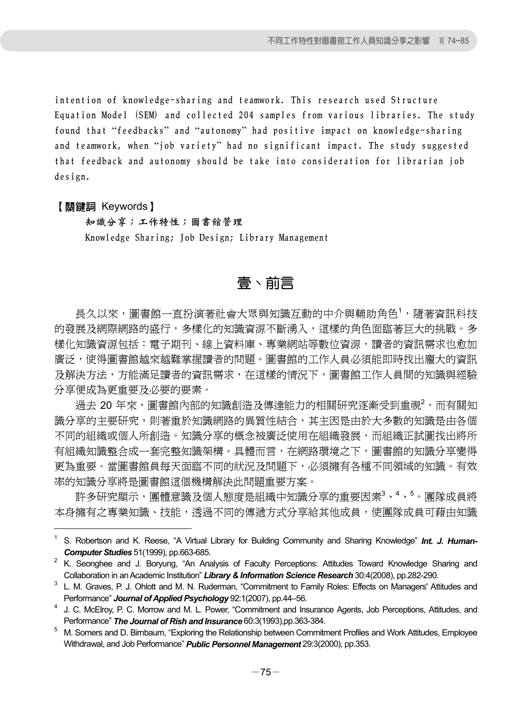intention of knowledge-sharing and teamwork. This research used Structure Equation Model (SEM) and collected 204 samples from various libraries. The study found that "feedbacks" and "autonomy" had positive impact on knowledge-sharing and teamwork, when "job variety" had no significant impact. The study suggested that feedback and autonomy should be take into consideration for librarian job design.

【關鍵詞 Keywords】

l

知識分享;工作特性;圖書館管理

Knowledge Sharing; Job Design; Library Management

# 壹、前言

長久以來,圖書館一直扮演著社會大眾與知識互動的中介與輔助角色<sup>1</sup>,隨著資訊科技 的發展及網際網路的盛行,多樣化的知識資源不斷湧入,這樣的角色面臨著巨大的挑戰。多 樣化知識資源包括:電子期刊、線上資料庫、專業網站等數位資源,讀者的資訊需求也愈加 廣泛,使得圖書館越來越難掌握讀者的問題。圖書館的工作人員必須能即時找出龐大的資訊 及解決方法,方能滿足讀者的資訊需求,在這樣的情況下,圖書館工作人員間的知識與經驗 分享便成為更重要及必要的要素。

過去 20 年來,圖書館內部的知識創造及傳達能力的相關研究逐漸受到重視<sup>2</sup>,而有關知 識分享的主要研究,則著重於知識網路的異質性結合,其主因是由於大多數的知識是由各個 不同的組織或個人所創造。知識分享的概念被廣泛使用在組織發展,而組織正試圖找出將所 有組織知識整合成一套完整知識架構。具體而言,在網路環境之下,圖書館的知識分享變得 更為重要。當圖書館員每天面臨不同的狀況及問題下,必須擁有各種不同領域的知識。有效 率的知識分享將是圖書館這個機構解決此問題重要方案。

許多研究顯示,團體意識及個人態度是組織中知識分享的重要因素<sup>3</sup>、<sup>4</sup>、<sup>5</sup>。團隊成員將 本身擁有之專業知識、技能,透過不同的傳遞方式分享給其他成員,使團隊成員可藉由知識

<sup>1</sup> S. Robertson and K. Reese, "A Virtual Library for Building Community and Sharing Knowledge" *Int. J. Human-Computer Studies* 51(1999), pp.663-685. 2

 $2$  K. Seonghee and J. Boryung, "An Analysis of Faculty Perceptions: Attitudes Toward Knowledge Sharing and Collaboration in an Academic Institution" *Library & Information Science Research* 30:4(2008), pp.282-290. 3

<sup>&</sup>lt;sup>3</sup> L. M. Graves, P. J. Ohlott and M. N. Ruderman, "Commitment to Family Roles: Effects on Managers' Attitudes and Performance" **Journal of Applied Psychology** 92:1(2007), pp.44-56.

J. C. McElroy, P. C. Morrow and M. L. Power, "Commitment and Insurance Agents, Job Perceptions, Attitudes, and Performance" **The Journal of Rish and Insurance** 60:3(1993),pp.363-384.

M. Somers and D. Birnbaum, "Exploring the Relationship between Commitment Profiles and Work Attitudes, Employee Withdrawal, and Job Performance" *Public Personnel Management* 29:3(2000), pp.353.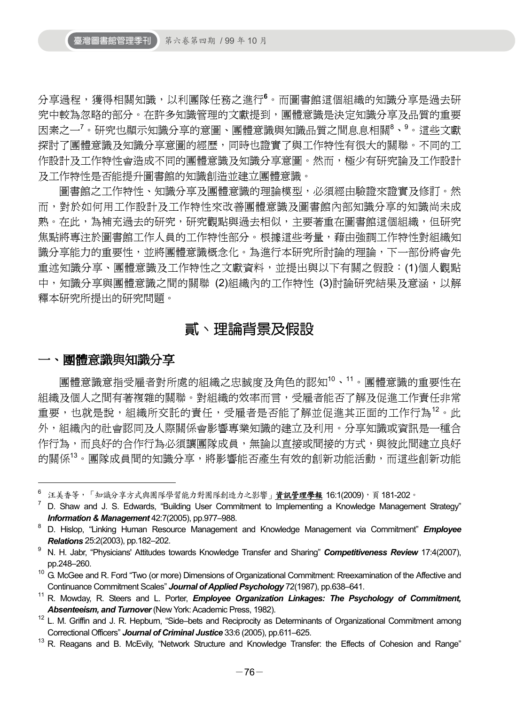分享過程,獲得相關知識,以利團隊任務之進行<sup>6</sup>。而圖書館這個組織的知識分享是過去研 究中較為忽略的部分。在許多知識管理的文獻提到,團體意識是決定知識分享及品質的重要 因素之一<sup>7</sup>。研究也顯示知識分享的意圖、團體意識與知識品質之間息息相關<sup>8</sup>、<sup>9</sup>。這些文獻 探討了團體意識及知識分享意圖的經歷,同時也證實了與工作特性有很大的關聯。不同的工 作設計及工作特性會造成不同的團體意識及知識分享意圖。然而,極少有研究論及工作設計 及工作特性是否能提升圖書館的知識創造並建立團體意識。

圖書館之工作特性、知識分享及團體意識的理論模型,必須經由驗證來證實及修訂。然 而,對於如何用工作設計及工作特性來改善團體意識及圖書館內部知識分享的知識尚未成 熟。在此,為補充過去的研究,研究觀點與過去相似,主要著重在圖書館這個組織,但研究 焦點將專注於圖書館工作人員的工作特性部分。根據這些考量,藉由強調工作特性對組織知 識分享能力的重要性,並將團體意識概念化。為進行本研究所討論的理論,下一部份將會先 重述知識分享、團體意識及工作特性之文獻資料,並提出與以下有關之假設:(1)個人觀點 中,知識分享與團體意識之間的關聯 (2)組織內的工作特性 (3)討論研究結果及意涵,以解 釋本研究所提出的研究問題。

## 貳、理論背景及假設

#### 一、團體意識與知識分享

1

團體意識意指受雇者對所處的組織之忠誠度及角色的認知<sup>10</sup>、<sup>11</sup>。團體意識的重要性在 組織及個人之間有著複雜的關聯。對組織的效率而言,受雇者能否了解及促進工作責任非常 重要,也就是說,組織所交託的責任,受雇者是否能了解並促進其正面的工作行為<sup>12</sup>。此 外,組織內的社會認同及人際關係會影響專業知識的建立及利用。分享知識或資訊是一種合 作行為,而良好的合作行為必須讓團隊成員,無論以直接或間接的方式,與彼此間建立良好 的關係<sup>13</sup>。團隊成員間的知識分享,將影響能否產生有效的創新功能活動,而這些創新功能

<sup>&</sup>lt;sup>6</sup> 汪美香等,「知識分享方式與團隊學習能力對團隊創造力之影響」**資訊管理學<u>報</u> 16:1(2009)**,頁 **181-202**。

<sup>7</sup> D. Shaw and J. S. Edwards, "Building User Commitment to Implementing a Knowledge Management Strategy" *Information & Management* 42:7(2005), pp.977–988. 8

D. Hislop, "Linking Human Resource Management and Knowledge Management via Commitment" *Employee*  **Relations** 25:2(2003), pp.182–202.

N. H. Jabr, "Physicians' Attitudes towards Knowledge Transfer and Sharing" *Competitiveness Review* 17:4(2007), pp.248–260.<br><sup>10</sup> G. McGee and R. Ford "Two (or more) Dimensions of Organizational Commitment: Rreexamination of the Affective and

Continuance Commitment Scales" *Journal of Applied Psychology* 72(1987), pp.638–641.<br><sup>11</sup> R. Mowday, R. Steers and L. Porter, *Employee Organization Linkages: The Psychology of Commitment,* 

*Absenteeism, and Turnover* (New York: Academic Press, 1982).<br><sup>12</sup> L. M. Griffin and J. R. Hepburn, "Side–bets and Reciprocity as Determinants of Organizational Commitment among

Correctional Officers" **Journal of Criminal Justice** 33:6 (2005), pp.611–625.<br><sup>13</sup> R. Reagans and B. McEvily, "Network Structure and Knowledge Transfer: the Effects of Cohesion and Range"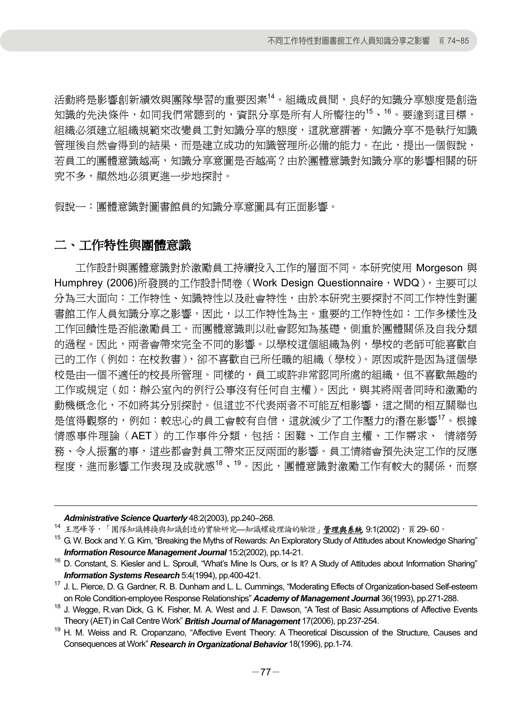活動將是影響創新績效與團隊學習的重要因素<sup>14</sup>。組織成員間,良好的知識分享態度是創造 知識的先決條件,如同我們常聽到的,資訊分享是所有人所嚮往的15、16。要達到這目標, 組織必須建立組織規範來改變員工對知識分享的態度,這就意謂著,知識分享不是執行知識 管理後自然會得到的結果,而是建立成功的知識管理所必備的能力。在此,提出一個假說, 若員工的團體意識越高,知識分享意圖是否越高?由於團體意識對知識分享的影響相關的研 究不多,顯然地必須更進一步地探討。

假說一:團體意識對圖書館員的知識分享意圖具有正面影響。

#### 二、工作特性與團體意識

工作設計與團體意識對於激勵員工持續投入工作的層面不同。本研究使用 Morgeson 與 Humphrey (2006)所發展的工作設計問卷(Work Design Questionnaire, WDQ), 主要可以 分為三大面向:工作特性、知識特性以及社會特性,由於本研究主要探討不同工作特性對圖 書館工作人員知識分享之影響,因此,以工作特性為主。重要的工作特性如:工作多樣性及 工作回饋性是否能激勵員工。而團體意識則以社會認知為基礎,側重於團體關係及自我分類 的過程。因此,兩者會帶來完全不同的影響。以學校這個組織為例,學校的老師可能喜歡自 己的工作(例如:在校教書),卻不喜歡自己所任職的組織(學校)。原因或許是因為這個學 校是由一個不適任的校長所管理。同樣的,員工或許非常認同所處的組織,但不喜歡無趣的 工作或規定(如:辦公室內的例行公事沒有任何自主權)。因此,與其將兩者同時和激勵的 動機概念化,不如將其分別探討。但這並不代表兩者不可能互相影響,這之間的相互關聯也 是值得觀察的,例如:較忠心的員工會較有自信,這就減少了工作壓力的潛在影響<sup>17</sup>。根據 情感事件理論(AET)的工作事件分類,包括:困難、工作自主權、工作需求、 情緒勞 務、令人振奮的事,這些都會對員工帶來正反兩面的影響。員工情緒會預先決定工作的反應 程度,進而影響工作表現及成就感18、19。因此,團體意識對激勵工作有較大的關係,而察

l

**Administrative Science Quarterly** 48:2(2003), pp.240–268.<br><sup>14</sup> 王思峰等,「團隊知識轉換與知識創造的實驗研究—知識螺旋理論的驗證」<u>管理與系統</u> 9:1(2002),頁 29- 60。

 $15$  G. W. Bock and Y. G. Kim, "Breaking the Myths of Rewards: An Exploratory Study of Attitudes about Knowledge Sharing" *Information Resource Management Journal* 15:2(2002), pp.14-21.<br><sup>16</sup> D. Constant, S. Kiesler and L. Sproull, "What's Mine Is Ours, or Is It? A Study of Attitudes about Information Sharing"

**Information Systems Research** 5:4(1994), pp.400-421.<br><sup>17</sup> J. L. Pierce, D. G. Gardner, R. B. Dunham and L. L. Cummings, "Moderating Effects of Organization-based Self-esteem

on Role Condition-employee Response Relationships" **Academy of Management Journal** 36(1993), pp.271-288.<br>J. Wegge, R.van Dick, G. K. Fisher, M. A. West and J. F. Dawson, "A Test of Basic Assumptions of Affective Events

Theory (AET) in Call Centre Work" **British Journal of Management** 17(2006), pp.237-254.<br><sup>19</sup> H. M. Weiss and R. Cropanzano, "Affective Event Theory: A Theoretical Discussion of the Structure, Causes and

Consequences at Work" *Research in Organizational Behavior* 18(1996), pp.1-74.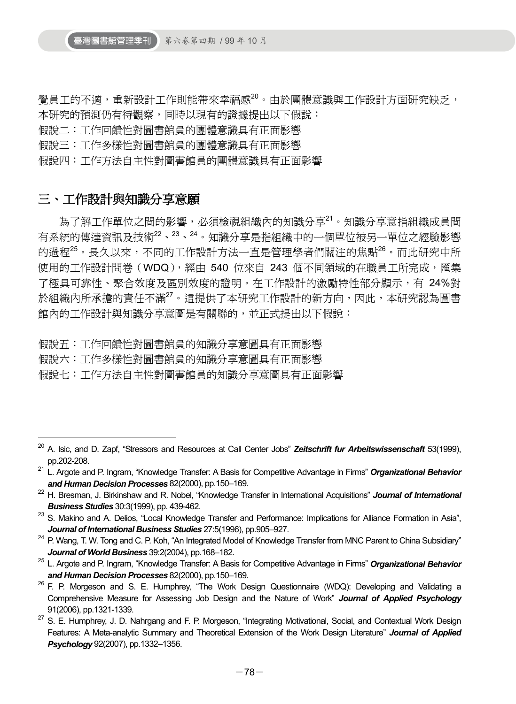覺員工的不適,重新設計工作則能帶來幸福感20。由於團體意識與工作設計方面研究缺乏, 本研究的預測仍有待觀察,同時以現有的證據提出以下假說:

假說二:工作回饋性對圖書館員的團體意識具有正面影響

假說三:工作多樣性對圖書館員的團體意識具有正面影響

假說四:工作方法自主性對圖書館員的團體意識具有正面影響

#### 三、工作設計與知識分享意願

1

為了解工作單位之間的影響,必須檢視組織內的知識分享<sup>21</sup>。知識分享意指組織成員間 有系統的傳達資訊及技術<sup>22</sup>、<sup>23</sup>、<sup>24</sup>。知識分享是指組織中的一個單位被另一單位之經驗影響 的過程<sup>25</sup>。長久以來,不同的工作設計方法一直是管理學者們關注的焦點<sup>26</sup>。而此研究中所 使用的工作設計問卷(WDQ),經由 540 位來自 243 個不同領域的在職員工所完成,匯集 了極具可靠性、聚合效度及區別效度的證明。在工作設計的激勵特性部分顯示,有 24%對 於組織內所承擔的責任不滿27。這提供了本研究工作設計的新方向,因此,本研究認為圖書 館內的工作設計與知識分享意圖是有關聯的,並正式提出以下假說:

假說五:工作回饋性對圖書館員的知識分享意圖具有正面影響

假說六:工作多樣性對圖書館員的知識分享意圖具有正面影響

假說七:工作方法自主性對圖書館員的知識分享意圖具有正面影響

<sup>20</sup> A. Isic, and D. Zapf, "Stressors and Resources at Call Center Jobs" *Zeitschrift fur Arbeitswissenschaft* 53(1999), pp.202-208. 21 L. Argote and P. Ingram, "Knowledge Transfer: A Basis for Competitive Advantage in Firms" *Organizational Behavior* 

and Human Decision Processes 82(2000), pp.150–169.<br><sup>22</sup> H. Bresman, J. Birkinshaw and R. Nobel, "Knowledge Transfer in International Acquisitions" *Journal of International* 

**Business Studies** 30:3(1999), pp. 439-462.<br><sup>23</sup> S. Makino and A. Delios, "Local Knowledge Transfer and Performance: Implications for Alliance Formation in Asia",

*Journal of International Business Studies* 27:5(1996), pp.905–927.<br><sup>24</sup> P. Wang, T. W. Tong and C. P. Koh, "An Integrated Model of Knowledge Transfer from MNC Parent to China Subsidiary"

*Journal of World Business* 39:2(2004), pp.168–182. 25 L. Argote and P. Ingram, "Knowledge Transfer: A Basis for Competitive Advantage in Firms" *Organizational Behavior* 

*and Human Decision Processes* 82(2000), pp.150–169. 26 F. P. Morgeson and S. E. Humphrey, "The Work Design Questionnaire (WDQ): Developing and Validating a Comprehensive Measure for Assessing Job Design and the Nature of Work" *Journal of Applied Psychology*

<sup>91(2006),</sup> pp.1321-1339.<br><sup>27</sup> S. E. Humphrey, J. D. Nahrgang and F. P. Morgeson, "Integrating Motivational, Social, and Contextual Work Design Features: A Meta-analytic Summary and Theoretical Extension of the Work Design Literature" *Journal of Applied Psychology* 92(2007), pp.1332–1356.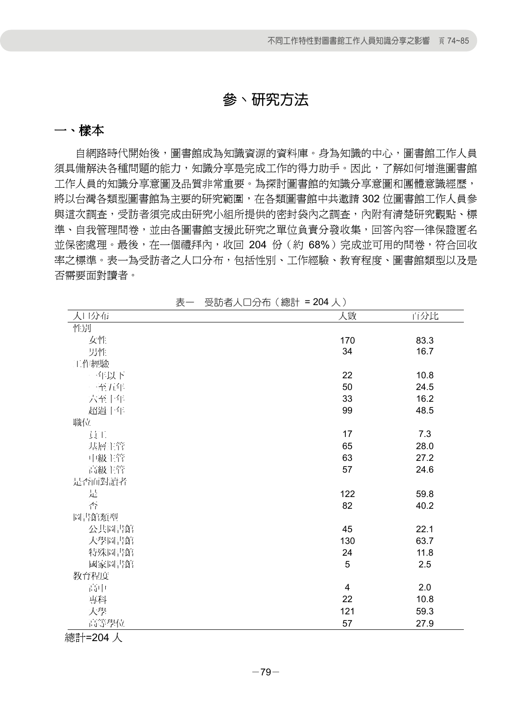## 參、研究方法

#### 一、樣本

自網路時代開始後,圖書館成為知識資源的資料庫。身為知識的中心,圖書館工作人員 須具備解決各種問題的能力,知識分享是完成工作的得力助手。因此,了解如何增進圖書館 工作人員的知識分享意圖及品質非常重要。為探討圖書館的知識分享意圖和團體意識經歷, 將以台灣各類型圖書館為主要的研究範圍,在各類圖書館中共邀請 302 位圖書館工作人員參 與這次調查,受訪者須完成由研究小組所提供的密封袋內之調查,內附有清楚研究觀點、標 準、自我管理問卷,並由各圖書館支援此研究之單位負責分發收集,回答內容一律保證匿名 並保密處理。最後,在一個禮拜內,收回 204 份(約 68%)完成並可用的問卷,符合回收 率之標準。表一為受訪者之人口分布,包括性別、工作經驗、教育程度、圖書館類型以及是 否需要面對讀者。

| 人口分布   | 人數  | 百分比  |
|--------|-----|------|
| 性別     |     |      |
| 女性     | 170 | 83.3 |
| 男性     | 34  | 16.7 |
| 工作經驗   |     |      |
| 一年以下   | 22  | 10.8 |
| 一至五年   | 50  | 24.5 |
| 六至十年   | 33  | 16.2 |
| 超過十年   | 99  | 48.5 |
| 職位     |     |      |
| 員工     | 17  | 7.3  |
| 基層主管   | 65  | 28.0 |
| 中級主管   | 63  | 27.2 |
| 高級主管   | 57  | 24.6 |
| 是否面對讀者 |     |      |
| 是      | 122 | 59.8 |
| 否      | 82  | 40.2 |
| 圖書館類型  |     |      |
| 公共圖書館  | 45  | 22.1 |
| 大學圖書館  | 130 | 63.7 |
| 特殊圖書館  | 24  | 11.8 |
| 國家圖書館  | 5   | 2.5  |
| 教育程度   |     |      |
| 高中     | 4   | 2.0  |
| 專科     | 22  | 10.8 |
| 大學     | 121 | 59.3 |
| 高等學位   | 57  | 27.9 |

表一 受訪者人口分布(總計 = 204 人)

總計=204 人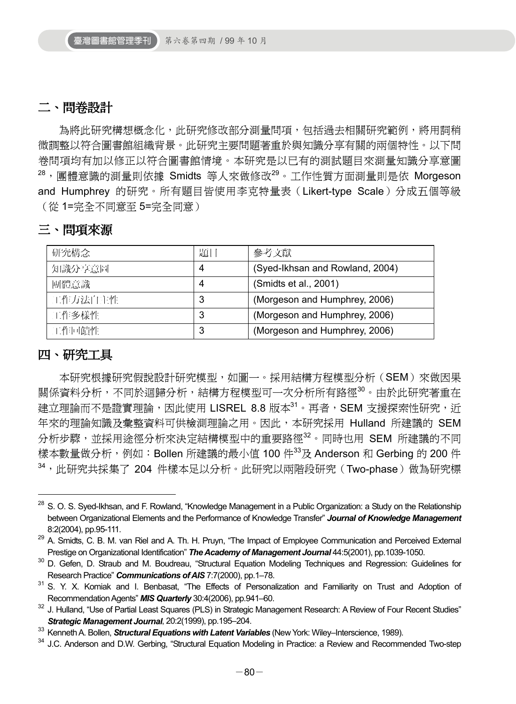## 二、問卷設計

為將此研究構想概念化,此研究修改部分測量問項,包括過去相關研究範例,將用詞稍 微調整以符合圖書館組織背景。此研究主要問題著重於與知識分享有關的兩個特性。以下問 卷問項均有加以修正以符合圖書館情境。本研究是以已有的測試題目來測量知識分享意圖 <sup>28,</sup>團體意識的測量則依據 Smidts 等人來做修改<sup>29</sup>。工作性質方面測量則是依 Morgeson and Humphrey 的研究。所有題目皆使用李克特量表(Likert-type Scale)分成五個等級 (從 1=完全不同意至 5=完全同意)

#### 三、問項來源

| 研究構念    | 題目 | 參考文獻                            |
|---------|----|---------------------------------|
| 知識分享意圖  |    | (Syed-Ikhsan and Rowland, 2004) |
| 團體意識    |    | (Smidts et al., 2001)           |
| 工作方法自主性 | 3  | (Morgeson and Humphrey, 2006)   |
| 工作多樣性   | 3  | (Morgeson and Humphrey, 2006)   |
| 工作回饋性   | 3  | (Morgeson and Humphrey, 2006)   |

#### 四、研究工具

1

本研究根據研究假說設計研究模型,如圖一。採用結構方程模型分析(SEM)來做因果 關係資料分析,不同於迴歸分析,結構方程模型可一次分析所有路徑<sup>30</sup>。由於此研究著重在 建立理論而不是證實理論,因此使用 LISREL 8.8 版本<sup>31</sup>。再者, SEM 支援探索性研究, 沂 年來的理論知識及彙整資料可供檢測理論之用。因此,本研究採用 Hulland 所建議的 SEM 分析步驟,並採用途徑分析來決定結構模型中的重要路徑<sup>32</sup>。同時也用 SEM 所建議的不同 樣本數量做分析,例如: Bollen 所建議的最小值 100 件33及 Anderson 和 Gerbing 的 200 件  $34$ ,此研究共採集了 204 件樣本足以分析。此研究以兩階段研究(Two-phase)做為研究標

<sup>28</sup> S. O. S. Syed-Ikhsan, and F. Rowland, "Knowledge Management in a Public Organization: a Study on the Relationship between Organizational Elements and the Performance of Knowledge Transfer" *Journal of Knowledge Management* 8:2(2004), pp.95-111.<br><sup>29</sup> A. Smidts, C. B. M. van Riel and A. Th. H. Pruyn, "The Impact of Employee Communication and Perceived External

Prestige on Organizational Identification" *The Academy of Management Journal* 44:5(2001), pp.1039-1050.<br><sup>30</sup> D. Gefen, D. Straub and M. Boudreau, "Structural Equation Modeling Techniques and Regression: Guidelines for

Research Practice" **Communications of AIS** 7:7(2000), pp.1–78.<br><sup>31</sup> S. Y. X. Komiak and I. Benbasat, "The Effects of Personalization and Familiarity on Trust and Adoption of

Recommendation Agents" *MIS Quarterly* 30:4(2006), pp.941–60.<br><sup>32</sup> J. Hulland, "Use of Partial Least Squares (PLS) in Strategic Management Research: A Review of Four Recent Studies"

Strategic Management Journal, 20:2(1999), pp.195–204.<br><sup>33</sup> Kenneth A. Bollen, Structural Equations with Latent Variables (New York: Wiley–Interscience, 1989).<br><sup>34</sup> J.C. Anderson and D.W. Gerbing, "Structural Equation Model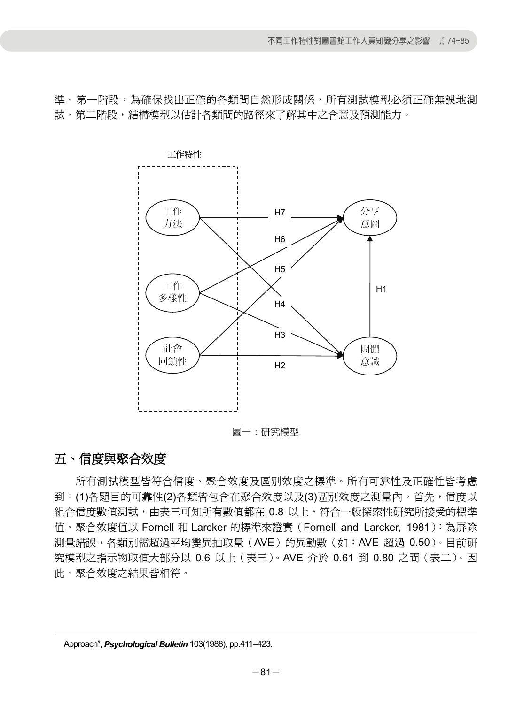準。第一階段,為確保找出正確的各類間自然形成關係,所有測試模型必須正確無誤地測 試。第二階段,結構模型以估計各類間的路徑來了解其中之含意及預測能力。



圖一:研究模型

#### 五、信度與聚合效度

 $\overline{a}$ 

所有測試模型皆符合信度、聚合效度及區別效度之標準。所有可靠性及正確性皆考慮 到:(1)各題目的可靠性(2)各類皆包含在聚合效度以及(3)區別效度之測量內。首先,信度以 組合信度數值測試,由表三可知所有數值都在 0.8 以上,符合一般探索性研究所接受的標準 值。聚合效度值以 Fornell 和 Larcker 的標準來證實(Fornell and Larcker, 1981):為屏除 測量錯誤,各類別需超過平均變異抽取量(AVE)的異動數(如:AVE 超過 0.50)。目前研 究模型之指示物取值大部分以 0.6 以上(表三)。AVE 介於 0.61 到 0.80 之間(表二)。因 此,聚合效度之結果皆相符。

Approach", *Psychological Bulletin* 103(1988), pp.411–423.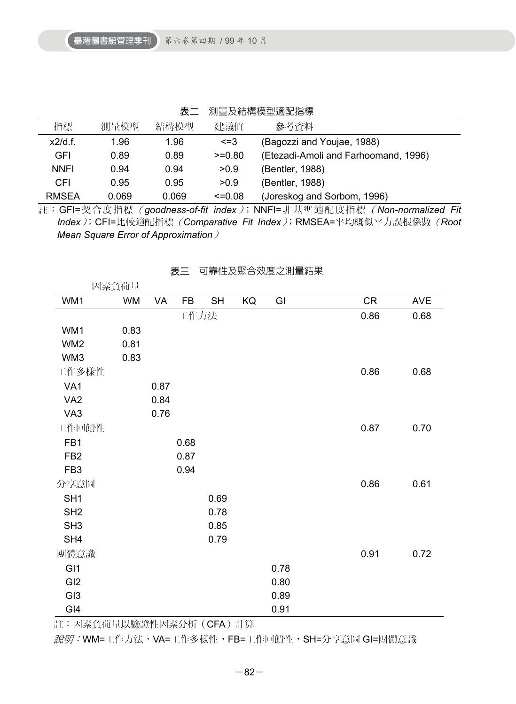|              |       |       |             | /\$!主/乂/心/[丹](夫主/鸟的儿日)尔              |  |
|--------------|-------|-------|-------------|--------------------------------------|--|
| 指標           | 測量模型  | 結構模型  | 建議值         | 參考資料                                 |  |
| x2/d.f.      | 1.96  | 1.96  | $\leq$ =3   | (Bagozzi and Youjae, 1988)           |  |
| GFI          | 0.89  | 0.89  | $>=0.80$    | (Etezadi-Amoli and Farhoomand, 1996) |  |
| <b>NNFI</b>  | 0.94  | 0.94  | >0.9        | (Bentler, 1988)                      |  |
| CFI          | 0.95  | 0.95  | >0.9        | (Bentler, 1988)                      |  |
| <b>RMSEA</b> | 0.069 | 0.069 | $\leq 0.08$ | (Joreskog and Sorbom, 1996)          |  |

表二 測量及結構模型適配指標

註:GFI=契合度指標(*goodness-of-fit index*);NNFI=非基準適配度指標(*Non-normalized Fit Index*);CFI=比較適配指標(*Comparative Fit Index*);RMSEA=平均概似平方誤根係數(*Root Mean Square Error of Approximation*)

| 表三 | 可靠性及聚合效度之測量結果 |
|----|---------------|

|                 | 因素負荷量     |      |      |           |    |      |           |      |
|-----------------|-----------|------|------|-----------|----|------|-----------|------|
| WM1             | <b>WM</b> | VA   | FB   | <b>SH</b> | KQ | GI   | <b>CR</b> | AVE  |
|                 |           |      | 工作方法 |           |    |      | 0.86      | 0.68 |
| WM1             | 0.83      |      |      |           |    |      |           |      |
| WM <sub>2</sub> | 0.81      |      |      |           |    |      |           |      |
| WM3             | 0.83      |      |      |           |    |      |           |      |
| 工作多樣性           |           |      |      |           |    |      | 0.86      | 0.68 |
| VA <sub>1</sub> |           | 0.87 |      |           |    |      |           |      |
| VA <sub>2</sub> |           | 0.84 |      |           |    |      |           |      |
| VA <sub>3</sub> |           | 0.76 |      |           |    |      |           |      |
| 工作回饋性           |           |      |      |           |    |      | 0.87      | 0.70 |
| FB1             |           |      | 0.68 |           |    |      |           |      |
| FB <sub>2</sub> |           |      | 0.87 |           |    |      |           |      |
| FB <sub>3</sub> |           |      | 0.94 |           |    |      |           |      |
| 分享意圖            |           |      |      |           |    |      | 0.86      | 0.61 |
| SH <sub>1</sub> |           |      |      | 0.69      |    |      |           |      |
| SH <sub>2</sub> |           |      |      | 0.78      |    |      |           |      |
| SH <sub>3</sub> |           |      |      | 0.85      |    |      |           |      |
| SH4             |           |      |      | 0.79      |    |      |           |      |
| 團體意識            |           |      |      |           |    |      | 0.91      | 0.72 |
| GI <sub>1</sub> |           |      |      |           |    | 0.78 |           |      |
| GI <sub>2</sub> |           |      |      |           |    | 0.80 |           |      |
| GI <sub>3</sub> |           |      |      |           |    | 0.89 |           |      |
| GI4             |           |      |      |           |    | 0.91 |           |      |

註:因素負荷量以驗證性因素分析(CFA)計算

說明: WM=工作方法, VA=工作多樣性, FB=工作回饋性, SH=分享意圖 GI=團體意識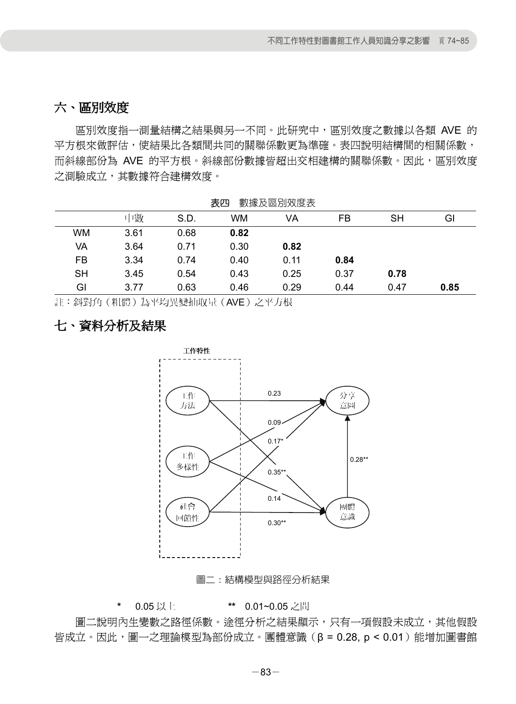## 六、區別效度

區別效度指一測量結構之結果與另一不同。此研究中,區別效度之數據以各類 AVE 的 平方根來做評估,使結果比各類間共同的關聯係數更為準確。表四說明結構間的相關係數, 而斜線部份為 AVE 的平方根。斜線部份數據皆超出交相建構的關聯係數。因此,區別效度 之測驗成立,其數據符合建構效度。

|           | 表四<br>數據及區別效度表 |      |           |      |      |           |      |  |  |
|-----------|----------------|------|-----------|------|------|-----------|------|--|--|
|           | 中數             | S.D. | <b>WM</b> | VA   | FB   | <b>SH</b> | Gl   |  |  |
| WM        | 3.61           | 0.68 | 0.82      |      |      |           |      |  |  |
| VA        | 3.64           | 0.71 | 0.30      | 0.82 |      |           |      |  |  |
| FB        | 3.34           | 0.74 | 0.40      | 0.11 | 0.84 |           |      |  |  |
| <b>SH</b> | 3.45           | 0.54 | 0.43      | 0.25 | 0.37 | 0.78      |      |  |  |
| GI        | 3.77           | 0.63 | 0.46      | 0.29 | 0.44 | 0.47      | 0.85 |  |  |

註:斜對角(粗體)為平均異變抽取量(AVE)之平方根

## 七、資料分析及結果



圖二:結構模型與路徑分析結果

**\*** 0.05 以上 **\*\*** 0.01~0.05 之間

圖二說明內生變數之路徑係數。途徑分析之結果顯示,只有一項假設未成立,其他假設 皆成立。因此,圖一之理論模型為部份成立。團體意識(β = 0.28, p < 0.01)能增加圖書館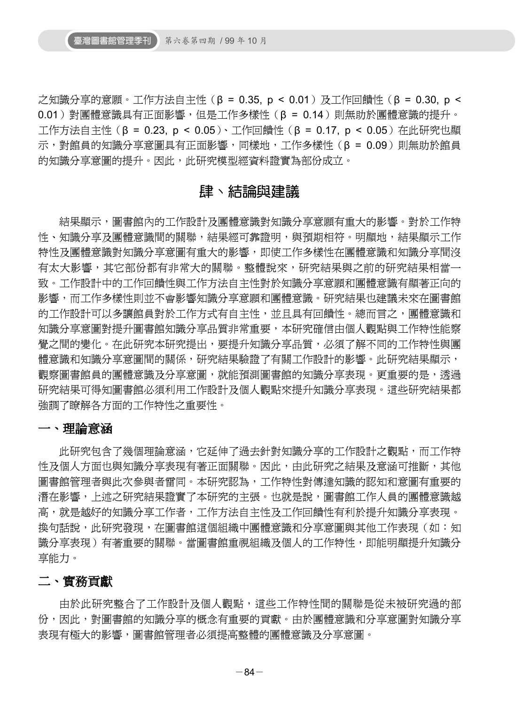之知識分享的意願。工作方法自主性(β = 0.35, p < 0.01)及工作回饋性(β = 0.30, p < 0.01)對團體意識具有正面影響,但是工作多樣性(β = 0.14)則無助於團體意識的提升。 工作方法自主性(β = 0.23, p < 0.05)、工作回饋性(β = 0.17, p < 0.05)在此研究也顯 示,對館員的知識分享意圖具有正面影響,同樣地,工作多樣性(β = 0.09)則無助於館員 的知識分享意圖的提升。因此,此研究模型經資料證實為部份成立。

## 肆、結論與建議

結果顯示,圖書館內的工作設計及團體意識對知識分享意願有重大的影響。對於工作特 性、知識分享及團體意識間的關聯,結果經可靠證明,與預期相符。明顯地,結果顯示工作 特性及團體意識對知識分享意圖有重大的影響,即使工作多樣性在團體意識和知識分享間沒 有太大影響,其它部份都有非常大的關聯。整體說來,研究結果與之前的研究結果相當一 致。工作設計中的工作回饋性與工作方法自主性對於知識分享意願和團體意識有顯著正向的 影響,而工作多樣性則並不會影響知識分享意願和團體意識。研究結果也建議未來在圖書館 的工作設計可以多讓館員對於工作方式有自主性,並且具有回饋性。總而言之,團體意識和 知識分享意圖對提升圖書館知識分享品質非常重要,本研究確信由個人觀點與工作特性能察 覺之間的變化。在此研究本研究提出,要提升知識分享品質,必須了解不同的工作特性與團 體意識和知識分享意圖間的關係,研究結果驗證了有關工作設計的影響。此研究結果顯示, 觀察圖書館員的團體意識及分享意圖,就能預測圖書館的知識分享表現。更重要的是,透過 研究結果可得知圖書館必須利用工作設計及個人觀點來提升知識分享表現。這些研究結果都 強調了瞭解各方面的工作特性之重要性。

#### 一、理論意涵

此研究包含了幾個理論意涵,它延伸了過去針對知識分享的工作設計之觀點,而工作特 性及個人方面也與知識分享表現有著正面關聯。因此,由此研究之結果及意涵可推斷,其他 圖書館管理者與此次參與者雷同。本研究認為,工作特性對傳達知識的認知和意圖有重要的 潛在影響,上述之研究結果證實了本研究的主張。也就是說,圖書館工作人員的團體意識越 高,就是越好的知識分享工作者,工作方法自主性及工作回饋性有利於提升知識分享表現。 換句話說,此研究發現,在圖書館這個組織中團體意識和分享意圖與其他工作表現(如:知 識分享表現)有著重要的關聯。當圖書館重視組織及個人的工作特性,即能明顯提升知識分 享能力。

#### 二、實務貢獻

由於此研究整合了工作設計及個人觀點,這些工作特性間的關聯是從未被研究過的部 份,因此,對圖書館的知識分享的概念有重要的貢獻。由於團體意識和分享意圖對知識分享 表現有極大的影響,圖書館管理者必須提高整體的團體意識及分享意圖。